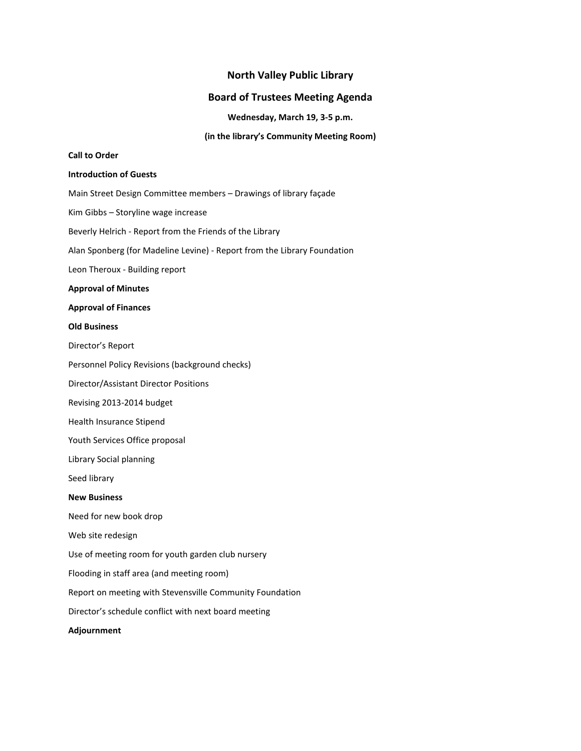# **North Valley Public Library**

## **Board of Trustees Meeting Agenda**

**Wednesday, March 19, 3-5 p.m.**

**(in the library's Community Meeting Room)**

## **Call to Order**

#### **Introduction of Guests**

Main Street Design Committee members – Drawings of library façade

Kim Gibbs – Storyline wage increase

Beverly Helrich - Report from the Friends of the Library

Alan Sponberg (for Madeline Levine) - Report from the Library Foundation

Leon Theroux - Building report

#### **Approval of Minutes**

#### **Approval of Finances**

#### **Old Business**

Director's Report

Personnel Policy Revisions (background checks)

Director/Assistant Director Positions

Revising 2013-2014 budget

Health Insurance Stipend

Youth Services Office proposal

Library Social planning

Seed library

### **New Business**

Need for new book drop

Web site redesign

Use of meeting room for youth garden club nursery

Flooding in staff area (and meeting room)

Report on meeting with Stevensville Community Foundation

Director's schedule conflict with next board meeting

**Adjournment**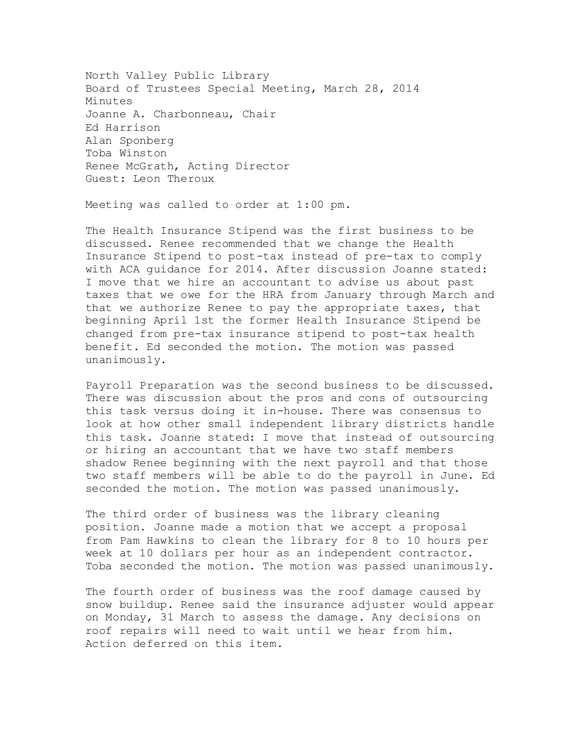North Valley Public Library Board of Trustees Special Meeting, March 28, 2014 Minutes Joanne A. Charbonneau, Chair Ed Harrison Alan Sponberg Toba Winston Renee McGrath, Acting Director Guest: Leon Theroux

Meeting was called to order at 1:00 pm.

The Health Insurance Stipend was the first business to be discussed. Renee recommended that we change the Health Insurance Stipend to post-tax instead of pre-tax to comply with ACA guidance for 2014. After discussion Joanne stated: I move that we hire an accountant to advise us about past taxes that we owe for the HRA from January through March and that we authorize Renee to pay the appropriate taxes, that beginning April 1st the former Health Insurance Stipend be changed from pre-tax insurance stipend to post-tax health benefit. Ed seconded the motion. The motion was passed unanimously.

Payroll Preparation was the second business to be discussed. There was discussion about the pros and cons of outsourcing this task versus doing it in-house. There was consensus to look at how other small independent library districts handle this task. Joanne stated: I move that instead of outsourcing or hiring an accountant that we have two staff members shadow Renee beginning with the next payroll and that those two staff members will be able to do the payroll in June. Ed seconded the motion. The motion was passed unanimously.

The third order of business was the library cleaning position. Joanne made a motion that we accept a proposal from Pam Hawkins to clean the library for 8 to 10 hours per week at 10 dollars per hour as an independent contractor. Toba seconded the motion. The motion was passed unanimously.

The fourth order of business was the roof damage caused by snow buildup. Renee said the insurance adjuster would appear on Monday, 31 March to assess the damage. Any decisions on roof repairs will need to wait until we hear from him. Action deferred on this item.